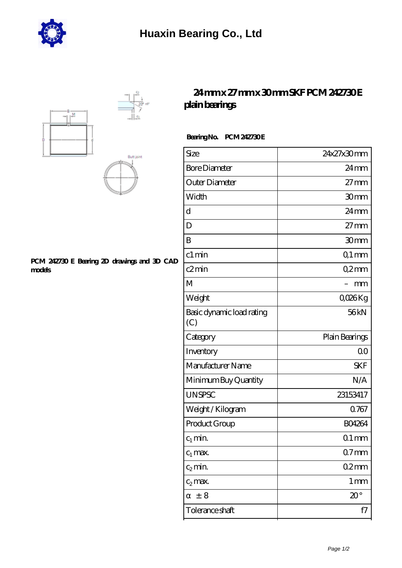





## **[PCM 242730 E Bearing 2D drawings and 3D CAD](https://m.hurtwoodmedia.com/pic-4770.html) [models](https://m.hurtwoodmedia.com/pic-4770.html)**

## **[24 mm x 27 mm x 30 mm SKF PCM 242730 E](https://m.hurtwoodmedia.com/au-4770-skf-pcm-242730-e-plain-bearings.html) [plain bearings](https://m.hurtwoodmedia.com/au-4770-skf-pcm-242730-e-plain-bearings.html)**

## Bearing No. PCM 242730E

| Size                             | 24x27x30mm         |
|----------------------------------|--------------------|
| <b>Bore Diameter</b>             | $24 \,\mathrm{mm}$ |
| Outer Diameter                   | $27 \text{mm}$     |
| Width                            | 30mm               |
| d                                | 24mm               |
| D                                | $27 \text{mm}$     |
| B                                | 30mm               |
| c1 min                           | $Q1$ mm            |
| c2min                            | Q2mm               |
| M                                | mm                 |
| Weight                           | QO26Kg             |
| Basic dynamic load rating<br>(C) | 56kN               |
|                                  |                    |
| Category                         | Plain Bearings     |
| Inventory                        | 0 <sup>0</sup>     |
| Manufacturer Name                | <b>SKF</b>         |
| Minimum Buy Quantity             | N/A                |
| <b>UNSPSC</b>                    | 23153417           |
| Weight / Kilogram                | 0.767              |
| Product Group                    | <b>BO4264</b>      |
| $c_1$ min.                       | $01$ mm            |
| $c_1$ max.                       | $07$ mm            |
| $c_2$ min.                       | 02mm               |
| $c_2$ max.                       | 1 <sub>mm</sub>    |
| ± 8                              | $20^{\circ}$       |